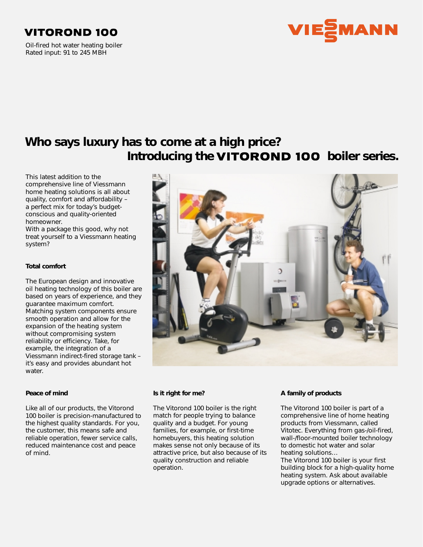## **VITOROND 100**

Oil-fired hot water heating boiler Rated input: 91 to 245 MBH



# **Who says luxury has to come at a high price?** Introducing the **VITOROND 100** boiler series.

This latest addition to the comprehensive line of Viessmann home heating solutions is all about quality, comfort and affordability – a perfect mix for today's budgetconscious and quality-oriented homeowner.

With a package this good, why not treat yourself to a Viessmann heating system?

### **Total comfort**

The European design and innovative oil heating technology of this boiler are based on years of experience, and they guarantee maximum comfort. Matching system components ensure smooth operation and allow for the expansion of the heating system without compromising system reliability or efficiency. Take, for example, the integration of a Viessmann indirect-fired storage tank – it's easy and provides abundant hot water.

#### **Peace of mind**

Like all of our products, the Vitorond 100 boiler is precision-manufactured to the highest quality standards. For you, the customer, this means safe and reliable operation, fewer service calls, reduced maintenance cost and peace of mind.



#### **Is it right for me?**

The Vitorond 100 boiler is the right match for people trying to balance quality and a budget. For young families, for example, or first-time homebuyers, this heating solution makes sense not only because of its attractive price, but also because of its quality construction and reliable operation.

### **A family of products**

The Vitorond 100 boiler is part of a comprehensive line of home heating products from Viessmann, called Vitotec. Everything from gas-/oil-fired, wall-/floor-mounted boiler technology to domestic hot water and solar heating solutions…

The Vitorond 100 boiler is your first building block for a high-quality home heating system. Ask about available upgrade options or alternatives.